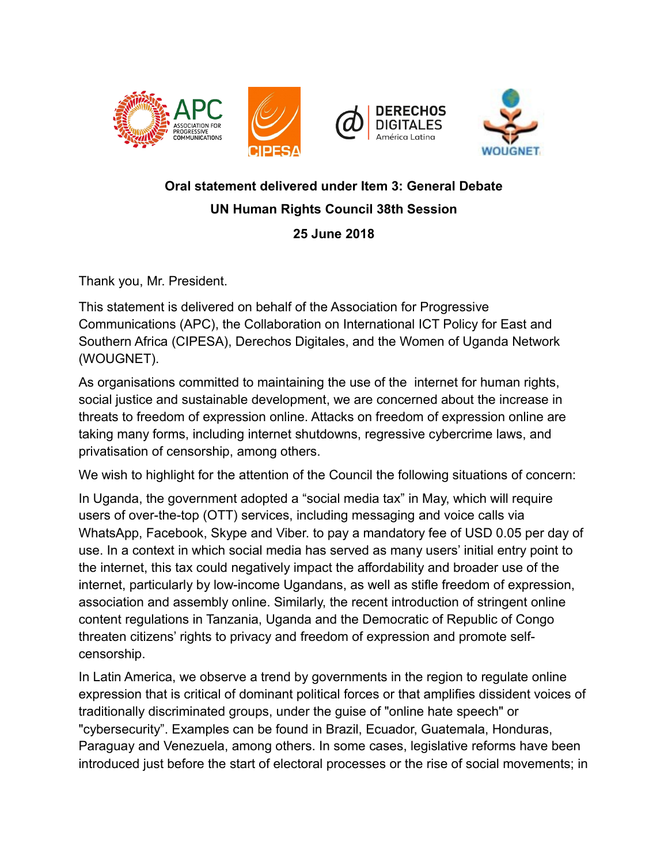



## **Oral statement delivered under Item 3: General Debate UN Human Rights Council 38th Session 25 June 2018**

Thank you, Mr. President.

This statement is delivered on behalf of the Association for Progressive Communications (APC), the Collaboration on International ICT Policy for East and Southern Africa (CIPESA), Derechos Digitales, and the Women of Uganda Network (WOUGNET).

As organisations committed to maintaining the use of the internet for human rights, social justice and sustainable development, we are concerned about the increase in threats to freedom of expression online. Attacks on freedom of expression online are taking many forms, including internet shutdowns, regressive cybercrime laws, and privatisation of censorship, among others.

We wish to highlight for the attention of the Council the following situations of concern:

In Uganda, the government adopted a "social media tax" in May, which will require users of over-the-top (OTT) services, including messaging and voice calls via WhatsApp, Facebook, Skype and Viber. to pay a mandatory fee of USD 0.05 per day of use. In a context in which social media has served as many users' initial entry point to the internet, this tax could negatively impact the affordability and broader use of the internet, particularly by low-income Ugandans, as well as stifle freedom of expression, association and assembly online. Similarly, the recent introduction of stringent online content regulations in Tanzania, Uganda and the Democratic of Republic of Congo threaten citizens' rights to privacy and freedom of expression and promote selfcensorship.

In Latin America, we observe a trend by governments in the region to regulate online expression that is critical of dominant political forces or that amplifies dissident voices of traditionally discriminated groups, under the guise of "online hate speech" or "cybersecurity". Examples can be found in Brazil, Ecuador, Guatemala, Honduras, Paraguay and Venezuela, among others. In some cases, legislative reforms have been introduced just before the start of electoral processes or the rise of social movements; in